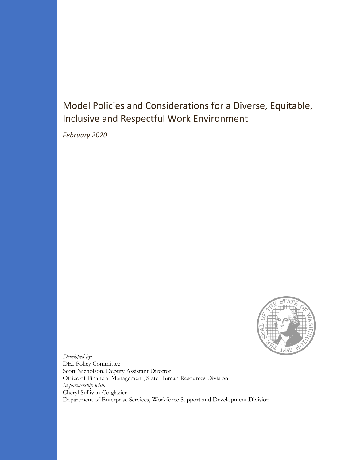## Model Policies and Considerations for a Diverse, Equitable, Inclusive and Respectful Work Environment

*February 2020*



*Developed by:* DEI Policy Committee Scott Nicholson, Deputy Assistant Director Office of Financial Management, State Human Resources Division *In partnership with:* Cheryl Sullivan-Colglazier Department of Enterprise Services, Workforce Support and Development Division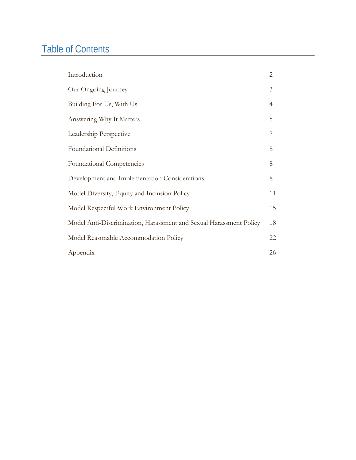# Table of Contents

| Introduction                                                       | $\overline{2}$ |
|--------------------------------------------------------------------|----------------|
| Our Ongoing Journey                                                | 3              |
| Building For Us, With Us                                           | 4              |
| Answering Why It Matters                                           | 5              |
| Leadership Perspective                                             | 7              |
| <b>Foundational Definitions</b>                                    | 8              |
| Foundational Competencies                                          | 8              |
| Development and Implementation Considerations                      | 8              |
| Model Diversity, Equity and Inclusion Policy                       | 11             |
| Model Respectful Work Environment Policy                           | 15             |
| Model Anti-Discrimination, Harassment and Sexual Harassment Policy | 18             |
| Model Reasonable Accommodation Policy                              | 22             |
| Appendix                                                           | 26             |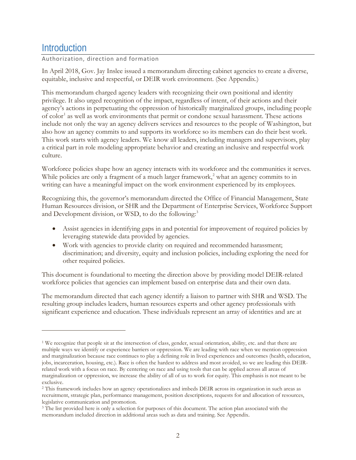### <span id="page-2-0"></span>**Introduction**

 $\overline{a}$ 

### Authorization, direction and formation

In April 2018, Gov. Jay Inslee issued a memorandum directing cabinet agencies to create a diverse, equitable, inclusive and respectful, or DEIR work environment. (See Appendix.)

This memorandum charged agency leaders with recognizing their own positional and identity privilege. It also urged recognition of the impact, regardless of intent, of their actions and their agency's actions in perpetuating the oppression of historically marginalized groups, including people of color<sup>[1](#page-2-1)</sup> as well as work environments that permit or condone sexual harassment. These actions include not only the way an agency delivers services and resources to the people of Washington, but also how an agency commits to and supports its workforce so its members can do their best work. This work starts with agency leaders. We know all leaders, including managers and supervisors, play a critical part in role modeling appropriate behavior and creating an inclusive and respectful work culture.

Workforce policies shape how an agency interacts with its workforce and the communities it serves. While policies are only a fragment of a much larger framework, [2](#page-2-2) what an agency commits to in writing can have a meaningful impact on the work environment experienced by its employees.

Recognizing this, the governor's memorandum directed the Office of Financial Management, State Human Resources division, or SHR and the Department of Enterprise Services, Workforce Support and Development division, or WSD, to do the following:<sup>[3](#page-2-3)</sup>

- Assist agencies in identifying gaps in and potential for improvement of required policies by leveraging statewide data provided by agencies.
- Work with agencies to provide clarity on required and recommended harassment; discrimination; and diversity, equity and inclusion policies, including exploring the need for other required policies.

This document is foundational to meeting the direction above by providing model DEIR-related workforce policies that agencies can implement based on enterprise data and their own data.

The memorandum directed that each agency identify a liaison to partner with SHR and WSD. The resulting group includes leaders, human resources experts and other agency professionals with significant experience and education. These individuals represent an array of identities and are at

<span id="page-2-1"></span><sup>1</sup> We recognize that people sit at the intersection of class, gender, sexual orientation, ability, etc. and that there are multiple ways we identify or experience barriers or oppression. We are leading with race when we mention oppression and marginalization because race continues to play a defining role in lived experiences and outcomes (health, education, jobs, incarceration, housing, etc.). Race is often the hardest to address and most avoided, so we are leading this DEIRrelated work with a focus on race. By centering on race and using tools that can be applied across all areas of marginalization or oppression, we increase the ability of all of us to work for equity. This emphasis is not meant to be exclusive.

<span id="page-2-2"></span><sup>2</sup> This framework includes how an agency operationalizes and imbeds DEIR across its organization in such areas as recruitment, strategic plan, performance management, position descriptions, requests for and allocation of resources, legislative communication and promotion.

<span id="page-2-3"></span><sup>&</sup>lt;sup>3</sup> The list provided here is only a selection for purposes of this document. The action plan associated with the memorandum included direction in additional areas such as data and training. See Appendix.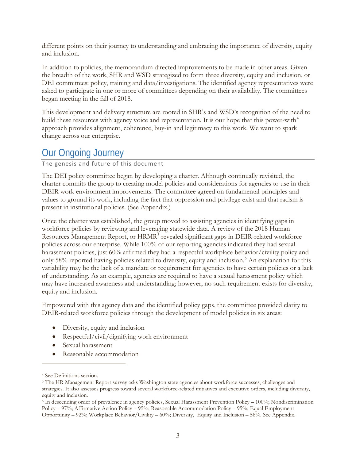different points on their journey to understanding and embracing the importance of diversity, equity and inclusion.

In addition to policies, the memorandum directed improvements to be made in other areas. Given the breadth of the work, SHR and WSD strategized to form three diversity, equity and inclusion, or DEI committees: policy, training and data/investigations. The identified agency representatives were asked to participate in one or more of committees depending on their availability. The committees began meeting in the fall of 2018.

This development and delivery structure are rooted in SHR's and WSD's recognition of the need to build these resources with agency voice and representation. It is our hope that this power-with $4$ approach provides alignment, coherence, buy-in and legitimacy to this work. We want to spark change across our enterprise.

### <span id="page-3-0"></span>Our Ongoing Journey

The genesis and future of this document

The DEI policy committee began by developing a charter. Although continually revisited, the charter commits the group to creating model policies and considerations for agencies to use in their DEIR work environment improvements. The committee agreed on fundamental principles and values to ground its work, including the fact that oppression and privilege exist and that racism is present in institutional policies. (See Appendix.)

Once the charter was established, the group moved to assisting agencies in identifying gaps in workforce policies by reviewing and leveraging statewide data. A review of the 2018 Human Resources Management Report, or HRMR<sup>[5](#page-3-2)</sup> revealed significant gaps in DEIR-related workforce policies across our enterprise. While 100% of our reporting agencies indicated they had sexual harassment policies, just 60% affirmed they had a respectful workplace behavior/civility policy and only 58% reported having policies related to diversity, equity and inclusion. [6](#page-3-3) An explanation for this variability may be the lack of a mandate or requirement for agencies to have certain policies or a lack of understanding. As an example, agencies are required to have a sexual harassment policy which may have increased awareness and understanding; however, no such requirement exists for diversity, equity and inclusion.

Empowered with this agency data and the identified policy gaps, the committee provided clarity to DEIR-related workforce policies through the development of model policies in six areas:

- Diversity, equity and inclusion
- Respectful/civil/dignifying work environment
- Sexual harassment
- Reasonable accommodation

<span id="page-3-1"></span><sup>4</sup> See Definitions section.

<span id="page-3-2"></span><sup>5</sup> The HR Management Report survey asks Washington state agencies about workforce successes, challenges and strategies. It also assesses progress toward several workforce-related initiatives and executive orders, including diversity, equity and inclusion.

<span id="page-3-3"></span><sup>6</sup> In descending order of prevalence in agency policies, Sexual Harassment Prevention Policy – 100%; Nondiscrimination Policy – 97%; Affirmative Action Policy – 95%; Reasonable Accommodation Policy – 95%; Equal Employment Opportunity – 92%; Workplace Behavior/Civility – 60%; Diversity, Equity and Inclusion – 58%. See Appendix.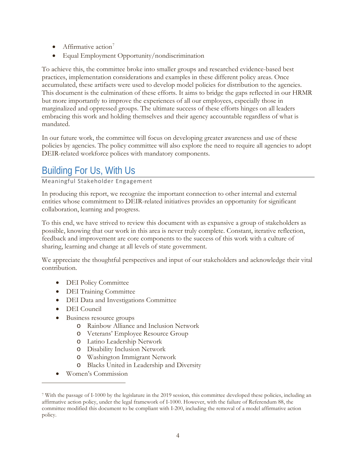- Affirmative action<sup>[7](#page-4-1)</sup>
- Equal Employment Opportunity/nondiscrimination

To achieve this, the committee broke into smaller groups and researched evidence-based best practices, implementation considerations and examples in these different policy areas. Once accumulated, these artifacts were used to develop model policies for distribution to the agencies. This document is the culmination of these efforts. It aims to bridge the gaps reflected in our HRMR but more importantly to improve the experiences of all our employees, especially those in marginalized and oppressed groups. The ultimate success of these efforts hinges on all leaders embracing this work and holding themselves and their agency accountable regardless of what is mandated.

In our future work, the committee will focus on developing greater awareness and use of these policies by agencies. The policy committee will also explore the need to require all agencies to adopt DEIR-related workforce polices with mandatory components.

## <span id="page-4-0"></span>Building For Us, With Us

Meaningful Stakeholder Engagement

In producing this report, we recognize the important connection to other internal and external entities whose commitment to DEIR-related initiatives provides an opportunity for significant collaboration, learning and progress.

To this end, we have strived to review this document with as expansive a group of stakeholders as possible, knowing that our work in this area is never truly complete. Constant, iterative reflection, feedback and improvement are core components to the success of this work with a culture of sharing, learning and change at all levels of state government.

We appreciate the thoughtful perspectives and input of our stakeholders and acknowledge their vital contribution.

- DEI Policy Committee
- DEI Training Committee
- DEI Data and Investigations Committee
- DEI Council

- Business resource groups
	- o Rainbow Alliance and Inclusion Network
	- o Veterans' Employee Resource Group
	- o Latino Leadership Network
	- o Disability Inclusion Network
	- o Washington Immigrant Network
	- o Blacks United in Leadership and Diversity
- Women's Commission

<span id="page-4-1"></span><sup>7</sup> With the passage of I-1000 by the legislature in the 2019 session, this committee developed these policies, including an affirmative action policy, under the legal framework of I-1000. However, with the failure of Referendum 88, the committee modified this document to be compliant with I-200, including the removal of a model affirmative action policy.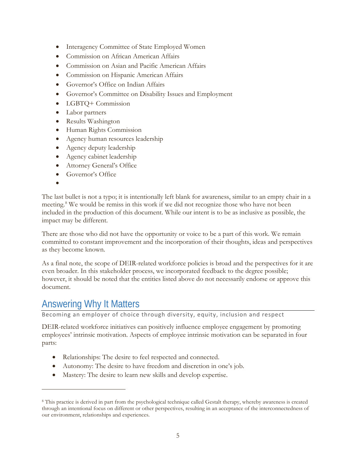- Interagency Committee of State Employed Women
- Commission on African American Affairs
- Commission on Asian and Pacific American Affairs
- Commission on Hispanic American Affairs
- Governor's Office on Indian Affairs
- Governor's Committee on Disability Issues and Employment
- LGBTQ+ Commission
- Labor partners
- Results Washington
- Human Rights Commission
- Agency human resources leadership
- Agency deputy leadership
- Agency cabinet leadership
- Attorney General's Office
- Governor's Office
- •

 $\overline{a}$ 

The last bullet is not a typo; it is intentionally left blank for awareness, similar to an empty chair in a meeting. [8](#page-5-1) We would be remiss in this work if we did not recognize those who have not been included in the production of this document. While our intent is to be as inclusive as possible, the impact may be different.

There are those who did not have the opportunity or voice to be a part of this work. We remain committed to constant improvement and the incorporation of their thoughts, ideas and perspectives as they become known.

As a final note, the scope of DEIR-related workforce policies is broad and the perspectives for it are even broader. In this stakeholder process, we incorporated feedback to the degree possible; however, it should be noted that the entities listed above do not necessarily endorse or approve this document.

### <span id="page-5-0"></span>Answering Why It Matters

Becoming an employer of choice through diversity, equity, inclusion and respect

DEIR-related workforce initiatives can positively influence employee engagement by promoting employees' intrinsic motivation. Aspects of employee intrinsic motivation can be separated in four parts:

- Relationships: The desire to feel respected and connected.
- Autonomy: The desire to have freedom and discretion in one's job.
- Mastery: The desire to learn new skills and develop expertise.

<span id="page-5-1"></span><sup>8</sup> This practice is derived in part from the psychological technique called Gestalt therapy, whereby awareness is created through an intentional focus on different or other perspectives, resulting in an acceptance of the interconnectedness of our environment, relationships and experiences.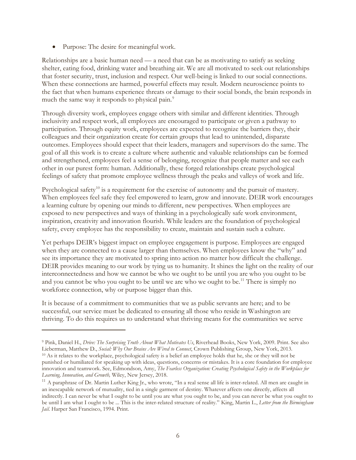• Purpose: The desire for meaningful work.

 $\overline{a}$ 

Relationships are a basic human need — a need that can be as motivating to satisfy as seeking shelter, eating food, drinking water and breathing air. We are all motivated to seek out relationships that foster security, trust, inclusion and respect. Our well-being is linked to our social connections. When these connections are harmed, powerful effects may result. Modern neuroscience points to the fact that when humans experience threats or damage to their social bonds, the brain responds in much the same way it responds to physical pain.<sup>[9](#page-6-0)</sup>

Through diversity work, employees engage others with similar and different identities. Through inclusivity and respect work, all employees are encouraged to participate or given a pathway to participation. Through equity work, employees are expected to recognize the barriers they, their colleagues and their organization create for certain groups that lead to unintended, disparate outcomes. Employees should expect that their leaders, managers and supervisors do the same. The goal of all this work is to create a culture where authentic and valuable relationships can be formed and strengthened, employees feel a sense of belonging, recognize that people matter and see each other in our purest form: human. Additionally, these forged relationships create psychological feelings of safety that promote employee wellness through the peaks and valleys of work and life.

Psychological safety<sup>[10](#page-6-1)</sup> is a requirement for the exercise of autonomy and the pursuit of mastery. When employees feel safe they feel empowered to learn, grow and innovate. DEIR work encourages a learning culture by opening our minds to different, new perspectives. When employees are exposed to new perspectives and ways of thinking in a psychologically safe work environment, inspiration, creativity and innovation flourish. While leaders are the foundation of psychological safety, every employee has the responsibility to create, maintain and sustain such a culture.

Yet perhaps DEIR's biggest impact on employee engagement is purpose. Employees are engaged when they are connected to a cause larger than themselves. When employees know the "why" and see its importance they are motivated to spring into action no matter how difficult the challenge. DEIR provides meaning to our work by tying us to humanity. It shines the light on the reality of our interconnectedness and how we cannot be who we ought to be until you are who you ought to be and you cannot be who you ought to be until we are who we ought to be.<sup>[11](#page-6-2)</sup> There is simply no workforce connection, why or purpose bigger than this.

It is because of a commitment to communities that we as public servants are here; and to be successful, our service must be dedicated to ensuring all those who reside in Washington are thriving. To do this requires us to understand what thriving means for the communities we serve

<span id="page-6-1"></span><span id="page-6-0"></span><sup>9</sup> Pink, Daniel H., *Drive: The Surprising Truth About What Motivates Us*, Riverhead Books, New York, 2009. Print. See also Lieberman, Matthew D., *Social: Why Our Brains Are Wired to Connect*, Crown Publishing Group, New York, 2013. <sup>10</sup> As it relates to the workplace, psychological safety is a belief an employee holds that he, she or they will not be punished or humiliated for speaking up with ideas, questions, concerns or mistakes. It is a core foundation for employee innovation and teamwork. See, Edmondson, Amy, *The Fearless Organization: Creating Psychological Safety in the Workplace for Learning, Innovation, and Growth,* Wiley, New Jersey, 2018.

<span id="page-6-2"></span><sup>&</sup>lt;sup>11</sup> A paraphrase of Dr. Martin Luther King Jr., who wrote, "In a real sense all life is inter-related. All men are caught in an inescapable network of mutuality, tied in a single garment of destiny. Whatever affects one directly, affects all indirectly. I can never be what I ought to be until you are what you ought to be, and you can never be what you ought to be until I am what I ought to be ... This is the inter-related structure of reality." King, Martin L., *Letter from the Birmingham Jail*. Harper San Francisco, 1994. Print.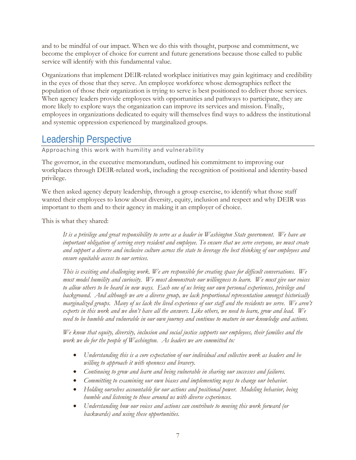and to be mindful of our impact. When we do this with thought, purpose and commitment, we become the employer of choice for current and future generations because those called to public service will identify with this fundamental value.

Organizations that implement DEIR-related workplace initiatives may gain legitimacy and credibility in the eyes of those that they serve. An employee workforce whose demographics reflect the population of those their organization is trying to serve is best positioned to deliver those services. When agency leaders provide employees with opportunities and pathways to participate, they are more likely to explore ways the organization can improve its services and mission. Finally, employees in organizations dedicated to equity will themselves find ways to address the institutional and systemic oppression experienced by marginalized groups.

## <span id="page-7-0"></span>Leadership Perspective

Approaching this work with humility and vulnerability

The governor, in the executive memorandum, outlined his commitment to improving our workplaces through DEIR-related work, including the recognition of positional and identity-based privilege.

We then asked agency deputy leadership, through a group exercise, to identify what those staff wanted their employees to know about diversity, equity, inclusion and respect and why DEIR was important to them and to their agency in making it an employer of choice.

This is what they shared:

*It is a privilege and great responsibility to serve as a leader in Washington State government. We have an important obligation of serving every resident and employee. To ensure that we serve everyone, we must create and support a diverse and inclusive culture across the state to leverage the best thinking of our employees and ensure equitable access to our services.* 

*This is exciting and challenging work. We are responsible for creating space for difficult conversations. We must model humility and curiosity. We must demonstrate our willingness to learn. We must give our voices to allow others to be heard in new ways. Each one of us bring our own personal experiences, privilege and background. And although we are a diverse group, we lack proportional representation amongst historically marginalized groups. Many of us lack the lived experience of our staff and the residents we serve. We aren't experts in this work and we don't have all the answers. Like others, we need to learn, grow and lead. We need to be humble and vulnerable in our own journey and continue to mature in our knowledge and actions.*

*We know that equity, diversity, inclusion and social justice supports our employees, their families and the work we do for the people of Washington. As leaders we are committed to:*

- *Understanding this is a core expectation of our individual and collective work as leaders and be willing to approach it with openness and bravery.*
- *Continuing to grow and learn and being vulnerable in sharing our successes and failures.*
- *Committing to examining our own biases and implementing ways to change our behavior.*
- *Holding ourselves accountable for our actions and positional power. Modeling behavior, being humble and listening to those around us with diverse experiences.*
- *Understanding how our voices and actions can contribute to moving this work forward (or backwards) and using these opportunities.*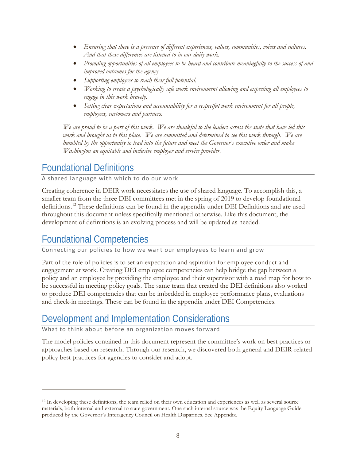- *Ensuring that there is a presence of different experiences, values, communities, voices and cultures. And that these differences are listened to in our daily work.*
- *Providing opportunities of all employees to be heard and contribute meaningfully to the success of and improved outcomes for the agency.*
- *Supporting employees to reach their full potential.*
- *Working to create a psychologically safe work environment allowing and expecting all employees to engage in this work bravely.*
- *Setting clear expectations and accountability for a respectful work environment for all people, employees, customers and partners.*

*We are proud to be a part of this work. We are thankful to the leaders across the state that have led this work and brought us to this place. We are committed and determined to see this work through. We are humbled by the opportunity to lead into the future and meet the Governor's executive order and make Washington an equitable and inclusive employer and service provider.*

## <span id="page-8-0"></span>Foundational Definitions

A shared language with which to do our work

Creating coherence in DEIR work necessitates the use of shared language. To accomplish this, a smaller team from the three DEI committees met in the spring of 2019 to develop foundational definitions.[12](#page-8-3) These definitions can be found in the appendix under DEI Definitions and are used throughout this document unless specifically mentioned otherwise. Like this document, the development of definitions is an evolving process and will be updated as needed.

### <span id="page-8-1"></span>Foundational Competencies

 $\overline{a}$ 

Connecting our policies to how we want our employees to learn and grow

Part of the role of policies is to set an expectation and aspiration for employee conduct and engagement at work. Creating DEI employee competencies can help bridge the gap between a policy and an employee by providing the employee and their supervisor with a road map for how to be successful in meeting policy goals. The same team that created the DEI definitions also worked to produce DEI competencies that can be imbedded in employee performance plans, evaluations and check-in meetings. These can be found in the appendix under DEI Competencies.

## <span id="page-8-2"></span>Development and Implementation Considerations

What to think about before an organization moves forward

The model policies contained in this document represent the committee's work on best practices or approaches based on research. Through our research, we discovered both general and DEIR-related policy best practices for agencies to consider and adopt.

<span id="page-8-3"></span><sup>&</sup>lt;sup>12</sup> In developing these definitions, the team relied on their own education and experiences as well as several source materials, both internal and external to state government. One such internal source was the Equity Language Guide produced by the Governor's Interagency Council on Health Disparities. See Appendix.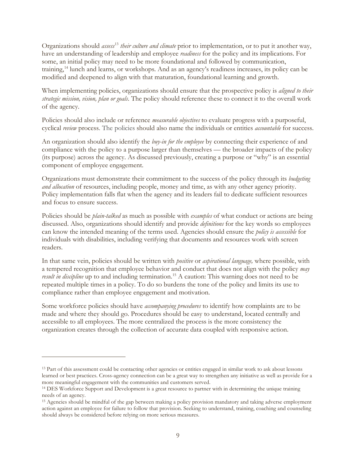Organizations should *assess*[13](#page-9-0) *their culture and climate* prior to implementation, or to put it another way, have an understanding of leadership and employee *readiness* for the policy and its implications. For some, an initial policy may need to be more foundational and followed by communication, training, [14](#page-9-1) lunch and learns, or workshops. And as an agency's readiness increases, its policy can be modified and deepened to align with that maturation, foundational learning and growth.

When implementing policies, organizations should ensure that the prospective policy is *aligned to their strategic mission, vision, plan or goals*. The policy should reference these to connect it to the overall work of the agency.

Policies should also include or reference *measurable objectives* to evaluate progress with a purposeful, cyclical *review* process. The policies should also name the individuals or entities *accountable* for success.

An organization should also identify the *buy-in for the employee* by connecting their experience of and compliance with the policy to a purpose larger than themselves — the broader impacts of the policy (its purpose) across the agency. As discussed previously, creating a purpose or "why" is an essential component of employee engagement.

Organizations must demonstrate their commitment to the success of the policy through its *budgeting and allocation* of resources, including people, money and time, as with any other agency priority. Policy implementation falls flat when the agency and its leaders fail to dedicate sufficient resources and focus to ensure success.

Policies should be *plain-talked* as much as possible with *examples* of what conduct or actions are being discussed. Also, organizations should identify and provide *definitions* for the key words so employees can know the intended meaning of the terms used. Agencies should ensure the *policy is accessible* for individuals with disabilities, including verifying that documents and resources work with screen readers.

In that same vein, policies should be written with *positive* or *aspirational language,* where possible, with a tempered recognition that employee behavior and conduct that does not align with the policy *may result in discipline* up to and including termination.<sup>[15](#page-9-2)</sup> A caution: This warning does not need to be repeated multiple times in a policy. To do so burdens the tone of the policy and limits its use to compliance rather than employee engagement and motivation.

Some workforce policies should have *accompanying procedures* to identify how complaints are to be made and where they should go. Procedures should be easy to understand, located centrally and accessible to all employees. The more centralized the process is the more consistency the organization creates through the collection of accurate data coupled with responsive action.

<span id="page-9-0"></span><sup>&</sup>lt;sup>13</sup> Part of this assessment could be contacting other agencies or entities engaged in similar work to ask about lessons learned or best practices. Cross-agency connection can be a great way to strengthen any initiative as well as provide for a more meaningful engagement with the communities and customers served.

<span id="page-9-1"></span><sup>&</sup>lt;sup>14</sup> DES Workforce Support and Development is a great resource to partner with in determining the unique training needs of an agency.

<span id="page-9-2"></span><sup>15</sup> Agencies should be mindful of the gap between making a policy provision mandatory and taking adverse employment action against an employee for failure to follow that provision. Seeking to understand, training, coaching and counseling should always be considered before relying on more serious measures.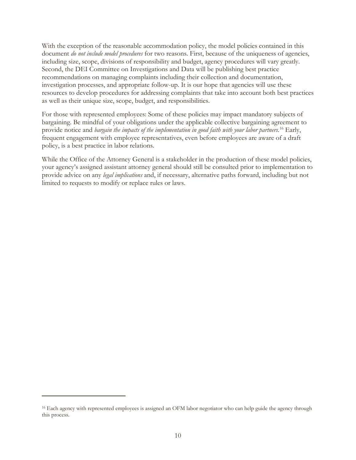With the exception of the reasonable accommodation policy, the model policies contained in this document *do not include model procedures* for two reasons. First, because of the uniqueness of agencies, including size, scope, divisions of responsibility and budget, agency procedures will vary greatly. Second, the DEI Committee on Investigations and Data will be publishing best practice recommendations on managing complaints including their collection and documentation, investigation processes, and appropriate follow-up. It is our hope that agencies will use these resources to develop procedures for addressing complaints that take into account both best practices as well as their unique size, scope, budget, and responsibilities.

For those with represented employees: Some of these policies may impact mandatory subjects of bargaining. Be mindful of your obligations under the applicable collective bargaining agreement to provide notice and *bargain the impacts of the implementation in good faith with your labor partners*. [16](#page-10-0) Early, frequent engagement with employee representatives, even before employees are aware of a draft policy, is a best practice in labor relations.

While the Office of the Attorney General is a stakeholder in the production of these model policies, your agency's assigned assistant attorney general should still be consulted prior to implementation to provide advice on any *legal implications* and, if necessary, alternative paths forward, including but not limited to requests to modify or replace rules or laws.

<span id="page-10-0"></span><sup>&</sup>lt;sup>16</sup> Each agency with represented employees is assigned an OFM labor negotiator who can help guide the agency through this process.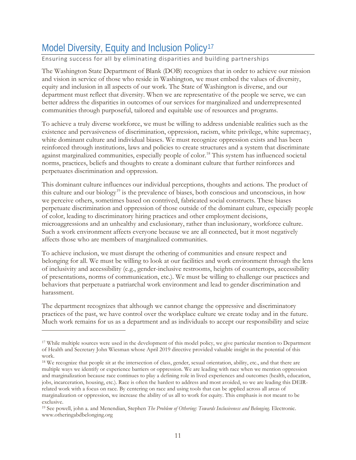## <span id="page-11-0"></span>Model Diversity, Equity and Inclusion Policy<sup>[17](#page-11-1)</sup>

### Ensuring success for all by eliminating disparities and building partnerships

The Washington State Department of Blank (DOB) recognizes that in order to achieve our mission and vision in service of those who reside in Washington, we must embed the values of diversity, equity and inclusion in all aspects of our work. The State of Washington is diverse, and our department must reflect that diversity. When we are representative of the people we serve, we can better address the disparities in outcomes of our services for marginalized and underrepresented communities through purposeful, tailored and equitable use of resources and programs.

To achieve a truly diverse workforce, we must be willing to address undeniable realities such as the existence and pervasiveness of discrimination, oppression, racism, white privilege, white supremacy, white dominant culture and individual biases. We must recognize oppression exists and has been reinforced through institutions, laws and policies to create structures and a system that discriminate against marginalized communities, especially people of color.<sup>[18](#page-11-2)</sup> This system has influenced societal norms, practices, beliefs and thoughts to create a dominant culture that further reinforces and perpetuates discrimination and oppression.

This dominant culture influences our individual perceptions, thoughts and actions. The product of this culture and our biology[19](#page-11-3) is the prevalence of biases, both conscious and unconscious, in how we perceive others, sometimes based on contrived, fabricated social constructs. These biases perpetuate discrimination and oppression of those outside of the dominant culture, especially people of color, leading to discriminatory hiring practices and other employment decisions, microaggressions and an unhealthy and exclusionary, rather than inclusionary, workforce culture. Such a work environment affects everyone because we are all connected, but it most negatively affects those who are members of marginalized communities.

To achieve inclusion, we must disrupt the othering of communities and ensure respect and belonging for all. We must be willing to look at our facilities and work environment through the lens of inclusivity and accessibility (e.g., gender-inclusive restrooms, heights of countertops, accessibility of presentations, norms of communication, etc.). We must be willing to challenge our practices and behaviors that perpetuate a patriarchal work environment and lead to gender discrimination and harassment.

The department recognizes that although we cannot change the oppressive and discriminatory practices of the past, we have control over the workplace culture we create today and in the future. Much work remains for us as a department and as individuals to accept our responsibility and seize

<span id="page-11-1"></span><sup>&</sup>lt;sup>17</sup> While multiple sources were used in the development of this model policy, we give particular mention to Department of Health and Secretary John Wiesman whose April 2019 directive provided valuable insight in the potential of this work.

<span id="page-11-2"></span><sup>&</sup>lt;sup>18</sup> We recognize that people sit at the intersection of class, gender, sexual orientation, ability, etc., and that there are multiple ways we identify or experience barriers or oppression. We are leading with race when we mention oppression and marginalization because race continues to play a defining role in lived experiences and outcomes (health, education, jobs, incarceration, housing, etc.). Race is often the hardest to address and most avoided, so we are leading this DEIRrelated work with a focus on race. By centering on race and using tools that can be applied across all areas of marginalization or oppression, we increase the ability of us all to work for equity. This emphasis is not meant to be exclusive.

<span id="page-11-3"></span><sup>19</sup> See powell, john a. and Menendian, Stephen *The Problem of Othering: Towards Inclusiveness and Belonging*. Electronic. www.otheringabdbelonging.org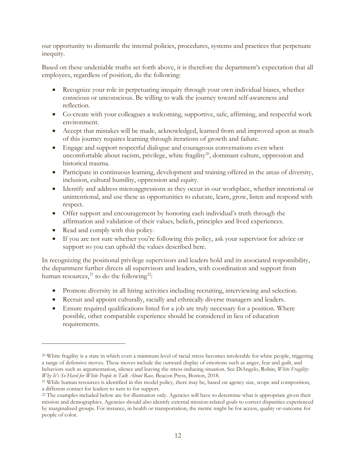our opportunity to dismantle the internal policies, procedures, systems and practices that perpetuate inequity.

Based on these undeniable truths set forth above, it is therefore the department's expectation that all employees, regardless of position, do the following:

- Recognize your role in perpetuating inequity through your own individual biases, whether conscious or unconscious. Be willing to walk the journey toward self-awareness and reflection.
- Co-create with your colleagues a welcoming, supportive, safe, affirming, and respectful work environment.
- Accept that mistakes will be made, acknowledged, learned from and improved upon as much of this journey requires learning through iterations of growth and failure.
- Engage and support respectful dialogue and courageous conversations even when uncomfortable about racism, privilege, white fragility<sup>[20](#page-12-0)</sup>, dominant culture, oppression and historical trauma.
- Participate in continuous learning, development and training offered in the areas of diversity, inclusion, cultural humility, oppression and equity.
- Identify and address microaggressions as they occur in our workplace, whether intentional or unintentional, and use these as opportunities to educate, learn, grow, listen and respond with respect.
- Offer support and encouragement by honoring each individual's truth through the affirmation and validation of their values, beliefs, principles and lived experiences.
- Read and comply with this policy.

 $\overline{a}$ 

• If you are not sure whether you're following this policy, ask your supervisor for advice or support so you can uphold the values described here.

In recognizing the positional privilege supervisors and leaders hold and its associated responsibility, the department further directs all supervisors and leaders, with coordination and support from human resources,<sup>[21](#page-12-1)</sup> to do the following<sup>22</sup>:

- Promote diversity in all hiring activities including recruiting, interviewing and selection.
- Recruit and appoint culturally, racially and ethnically diverse managers and leaders.
- Ensure required qualifications listed for a job are truly necessary for a position. Where possible, other comparable experience should be considered in lieu of education requirements.

<span id="page-12-0"></span><sup>&</sup>lt;sup>20</sup> White fragility is a state in which even a minimum level of racial stress becomes intolerable for white people, triggering a range of defensive moves. These moves include the outward display of emotions such as anger, fear and guilt, and behaviors such as argumentation, silence and leaving the stress-inducing situation. See DiAngelo, Robin, *White Fragility: Why It's So Hard for White People to Talk About Race,* Beacon Press, Boston, 2018.

<span id="page-12-1"></span><sup>21</sup> While human resources is identified in this model policy, there may be, based on agency size, scope and composition, a different contact for leaders to turn to for support.

<span id="page-12-2"></span><sup>&</sup>lt;sup>22</sup> The examples included below are for illustration only. Agencies will have to determine what is appropriate given their mission and demographics. Agencies should also identify external mission-related goals to correct disparities experienced by marginalized groups. For instance, in health or transportation, the metric might be for access, quality or outcome for people of color.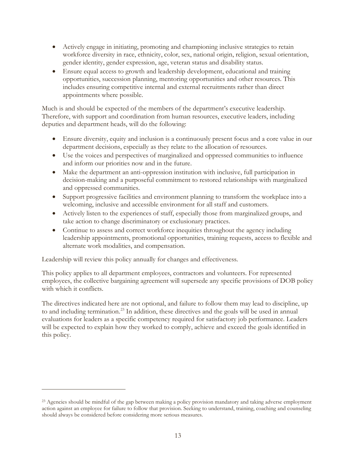- Actively engage in initiating, promoting and championing inclusive strategies to retain workforce diversity in race, ethnicity, color, sex, national origin, religion, sexual orientation, gender identity, gender expression, age, veteran status and disability status.
- Ensure equal access to growth and leadership development, educational and training opportunities, succession planning, mentoring opportunities and other resources. This includes ensuring competitive internal and external recruitments rather than direct appointments where possible.

Much is and should be expected of the members of the department's executive leadership. Therefore, with support and coordination from human resources, executive leaders, including deputies and department heads, will do the following:

- Ensure diversity, equity and inclusion is a continuously present focus and a core value in our department decisions, especially as they relate to the allocation of resources.
- Use the voices and perspectives of marginalized and oppressed communities to influence and inform our priorities now and in the future.
- Make the department an anti-oppression institution with inclusive, full participation in decision-making and a purposeful commitment to restored relationships with marginalized and oppressed communities.
- Support progressive facilities and environment planning to transform the workplace into a welcoming, inclusive and accessible environment for all staff and customers.
- Actively listen to the experiences of staff, especially those from marginalized groups, and take action to change discriminatory or exclusionary practices.
- Continue to assess and correct workforce inequities throughout the agency including leadership appointments, promotional opportunities, training requests, access to flexible and alternate work modalities, and compensation.

Leadership will review this policy annually for changes and effectiveness.

 $\overline{a}$ 

This policy applies to all department employees, contractors and volunteers. For represented employees, the collective bargaining agreement will supersede any specific provisions of DOB policy with which it conflicts.

The directives indicated here are not optional, and failure to follow them may lead to discipline, up to and including termination.<sup>[23](#page-13-0)</sup> In addition, these directives and the goals will be used in annual evaluations for leaders as a specific competency required for satisfactory job performance. Leaders will be expected to explain how they worked to comply, achieve and exceed the goals identified in this policy.

<span id="page-13-0"></span><sup>&</sup>lt;sup>23</sup> Agencies should be mindful of the gap between making a policy provision mandatory and taking adverse employment action against an employee for failure to follow that provision. Seeking to understand, training, coaching and counseling should always be considered before considering more serious measures.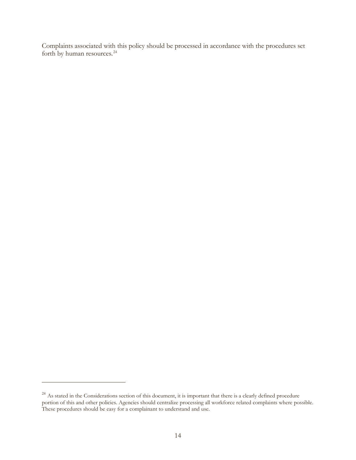Complaints associated with this policy should be processed in accordance with the procedures set forth by human resources.<sup>[24](#page-14-0)</sup>

<span id="page-14-0"></span><sup>&</sup>lt;sup>24</sup> As stated in the Considerations section of this document, it is important that there is a clearly defined procedure portion of this and other policies. Agencies should centralize processing all workforce related complaints where possible. These procedures should be easy for a complainant to understand and use.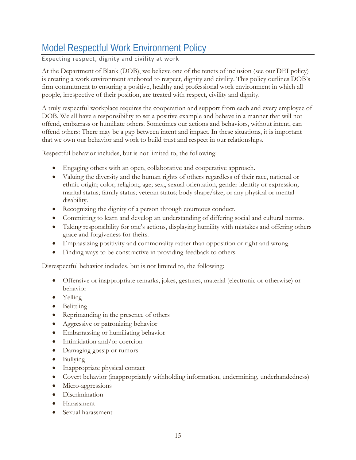## <span id="page-15-0"></span>Model Respectful Work Environment Policy

Expecting respect, dignity and civility at work

At the Department of Blank (DOB), we believe one of the tenets of inclusion (see our DEI policy) is creating a work environment anchored to respect, dignity and civility. This policy outlines DOB's firm commitment to ensuring a positive, healthy and professional work environment in which all people, irrespective of their position, are treated with respect, civility and dignity.

A truly respectful workplace requires the cooperation and support from each and every employee of DOB. We all have a responsibility to set a positive example and behave in a manner that will not offend, embarrass or humiliate others. Sometimes our actions and behaviors, without intent, can offend others: There may be a gap between intent and impact. In these situations, it is important that we own our behavior and work to build trust and respect in our relationships.

Respectful behavior includes, but is not limited to, the following:

- Engaging others with an open, collaborative and cooperative approach.
- Valuing the diversity and the human rights of others regardless of their race, national or ethnic origin; color; religion;, age; sex;, sexual orientation, gender identity or expression; marital status; family status; veteran status; body shape/size; or any physical or mental disability.
- Recognizing the dignity of a person through courteous conduct.
- Committing to learn and develop an understanding of differing social and cultural norms.
- Taking responsibility for one's actions, displaying humility with mistakes and offering others grace and forgiveness for theirs.
- Emphasizing positivity and commonality rather than opposition or right and wrong.
- Finding ways to be constructive in providing feedback to others.

Disrespectful behavior includes, but is not limited to, the following:

- Offensive or inappropriate remarks, jokes, gestures, material (electronic or otherwise) or behavior
- Yelling
- Belittling
- Reprimanding in the presence of others
- Aggressive or patronizing behavior
- Embarrassing or humiliating behavior
- Intimidation and/or coercion
- Damaging gossip or rumors
- Bullying
- Inappropriate physical contact
- Covert behavior (inappropriately withholding information, undermining, underhandedness)
- Micro-aggressions
- Discrimination
- Harassment
- Sexual harassment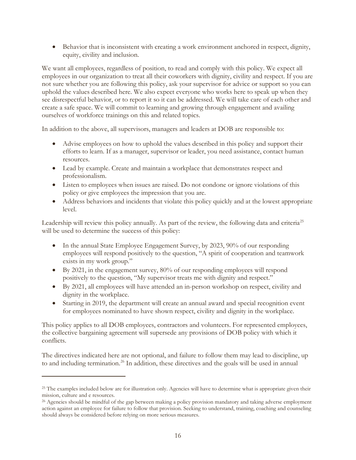• Behavior that is inconsistent with creating a work environment anchored in respect, dignity, equity, civility and inclusion.

We want all employees, regardless of position, to read and comply with this policy. We expect all employees in our organization to treat all their coworkers with dignity, civility and respect. If you are not sure whether you are following this policy, ask your supervisor for advice or support so you can uphold the values described here. We also expect everyone who works here to speak up when they see disrespectful behavior, or to report it so it can be addressed. We will take care of each other and create a safe space. We will commit to learning and growing through engagement and availing ourselves of workforce trainings on this and related topics.

In addition to the above, all supervisors, managers and leaders at DOB are responsible to:

- Advise employees on how to uphold the values described in this policy and support their efforts to learn. If as a manager, supervisor or leader, you need assistance, contact human resources.
- Lead by example. Create and maintain a workplace that demonstrates respect and professionalism.
- Listen to employees when issues are raised. Do not condone or ignore violations of this policy or give employees the impression that you are.
- Address behaviors and incidents that violate this policy quickly and at the lowest appropriate level.

Leadership will review this policy annually. As part of the review, the following data and criteria<sup>[25](#page-16-0)</sup> will be used to determine the success of this policy:

- In the annual State Employee Engagement Survey, by 2023, 90% of our responding employees will respond positively to the question, "A spirit of cooperation and teamwork exists in my work group."
- By 2021, in the engagement survey, 80% of our responding employees will respond positively to the question, "My supervisor treats me with dignity and respect."
- By 2021, all employees will have attended an in-person workshop on respect, civility and dignity in the workplace.
- Starting in 2019, the department will create an annual award and special recognition event for employees nominated to have shown respect, civility and dignity in the workplace.

This policy applies to all DOB employees, contractors and volunteers. For represented employees, the collective bargaining agreement will supersede any provisions of DOB policy with which it conflicts.

The directives indicated here are not optional, and failure to follow them may lead to discipline, up to and including termination.<sup>[26](#page-16-1)</sup> In addition, these directives and the goals will be used in annual

<span id="page-16-0"></span><sup>&</sup>lt;sup>25</sup> The examples included below are for illustration only. Agencies will have to determine what is appropriate given their mission, culture and e resources.

<span id="page-16-1"></span><sup>&</sup>lt;sup>26</sup> Agencies should be mindful of the gap between making a policy provision mandatory and taking adverse employment action against an employee for failure to follow that provision. Seeking to understand, training, coaching and counseling should always be considered before relying on more serious measures.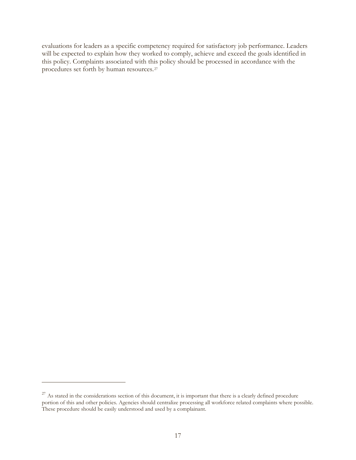evaluations for leaders as a specific competency required for satisfactory job performance. Leaders will be expected to explain how they worked to comply, achieve and exceed the goals identified in this policy. Complaints associated with this policy should be processed in accordance with the procedures set forth by human resources.[27](#page-17-0)

<span id="page-17-0"></span> $27$  As stated in the considerations section of this document, it is important that there is a clearly defined procedure portion of this and other policies. Agencies should centralize processing all workforce related complaints where possible. These procedure should be easily understood and used by a complainant.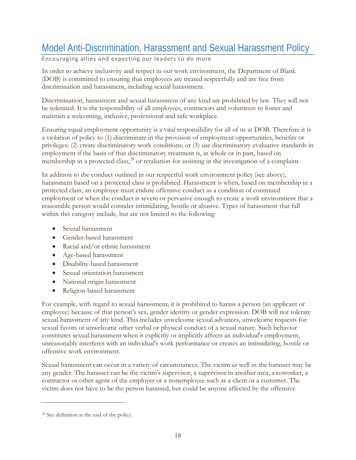# <span id="page-18-0"></span>Model Anti-Discrimination, Harassment and Sexual Harassment Policy

Encouraging allies and expecting our leaders to do more

In order to achieve inclusivity and respect in our work environment, the Department of Blank (DOB) is committed to ensuring that employees are treated respectfully and are free from discrimination and harassment, including sexual harassment.

Discrimination, harassment and sexual harassment of any kind are prohibited by law. They will not be tolerated. It is the responsibility of all employees, contractors and volunteers to foster and maintain a welcoming, inclusive, professional and safe workplace.

Ensuring equal employment opportunity is a vital responsibility for all of us at DOB. Therefore it is a violation of policy to (1) discriminate in the provision of employment opportunities, benefits or privileges; (2) create discriminatory work conditions; or (3) use discriminatory evaluative standards in employment if the basis of that discriminatory treatment is, in whole or in part, based on membership in a protected class, [28](#page-18-1) or retaliation for assisting in the investigation of a complaint.

In addition to the conduct outlined in our respectful work environment policy (see above), harassment based on a protected class is prohibited. Harassment is when, based on membership in a protected class, an employee must endure offensive conduct as a condition of continued employment or when the conduct is severe or pervasive enough to create a work environment that a reasonable person would consider intimidating, hostile or abusive. Types of harassment that fall within this category include, but are not limited to the following:

- Sexual harassment
- Gender-based harassment
- Racial and/or ethnic harassment
- Age-based harassment
- Disability-based harassment
- Sexual orientation harassment
- National origin harassment
- Religion-based harassment

For example, with regard to sexual harassment, it is prohibited to harass a person (an applicant or employee) because of that person's sex, gender identity or gender expression. DOB will not tolerate sexual harassment of any kind. This includes unwelcome sexual advances, unwelcome requests for sexual favors or unwelcome other verbal or physical conduct of a sexual nature. Such behavior constitutes sexual harassment when it explicitly or implicitly affects an individual's employment, unreasonably interferes with an individual's work performance or creates an intimidating, hostile or offensive work environment.

Sexual harassment can occur in a variety of circumstances. The victim as well as the harasser may be any gender. The harasser can be the victim's supervisor, a supervisor in another area, a coworker, a contractor or other agent of the employer or a nonemployee such as a client or a customer. The victim does not have to be the person harassed, but could be anyone affected by the offensive

<span id="page-18-1"></span><sup>28</sup> See definition at the end of the policy.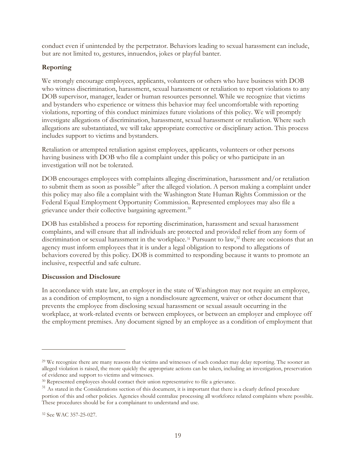conduct even if unintended by the perpetrator. Behaviors leading to sexual harassment can include, but are not limited to, gestures, innuendos, jokes or playful banter.

### **Reporting**

We strongly encourage employees, applicants, volunteers or others who have business with DOB who witness discrimination, harassment, sexual harassment or retaliation to report violations to any DOB supervisor, manager, leader or human resources personnel. While we recognize that victims and bystanders who experience or witness this behavior may feel uncomfortable with reporting violations, reporting of this conduct minimizes future violations of this policy. We will promptly investigate allegations of discrimination, harassment, sexual harassment or retaliation. Where such allegations are substantiated, we will take appropriate corrective or disciplinary action. This process includes support to victims and bystanders.

Retaliation or attempted retaliation against employees, applicants, volunteers or other persons having business with DOB who file a complaint under this policy or who participate in an investigation will not be tolerated.

DOB encourages employees with complaints alleging discrimination, harassment and/or retaliation to submit them as soon as possible<sup>[29](#page-19-0)</sup> after the alleged violation. A person making a complaint under this policy may also file a complaint with the Washington State Human Rights Commission or the Federal Equal Employment Opportunity Commission. Represented employees may also file a grievance under their collective bargaining agreement.<sup>[30](#page-19-1)</sup>

DOB has established a process for reporting discrimination, harassment and sexual harassment complaints, and will ensure that all individuals are protected and provided relief from any form of discrimination or sexual harassment in the workplace.<sup>[31](#page-19-2)</sup> Pursuant to law,<sup>[32](#page-19-3)</sup> there are occasions that an agency must inform employees that it is under a legal obligation to respond to allegations of behaviors covered by this policy. DOB is committed to responding because it wants to promote an inclusive, respectful and safe culture.

#### **Discussion and Disclosure**

In accordance with state law, an employer in the state of Washington may not require an employee, as a condition of employment, to sign a nondisclosure agreement, waiver or other document that prevents the employee from disclosing sexual harassment or sexual assault occurring in the workplace, at work-related events or between employees, or between an employer and employee off the employment premises. Any document signed by an employee as a condition of employment that

<span id="page-19-0"></span><sup>29</sup> We recognize there are many reasons that victims and witnesses of such conduct may delay reporting. The sooner an alleged violation is raised, the more quickly the appropriate actions can be taken, including an investigation, preservation of evidence and support to victims and witnesses.

<span id="page-19-1"></span><sup>&</sup>lt;sup>30</sup> Represented employees should contact their union representative to file a grievance.

<span id="page-19-2"></span><sup>&</sup>lt;sup>31</sup> As stated in the Considerations section of this document, it is important that there is a clearly defined procedure portion of this and other policies. Agencies should centralize processing all workforce related complaints where possible. These procedures should be for a complainant to understand and use.

<span id="page-19-3"></span><sup>32</sup> See WAC 357-25-027.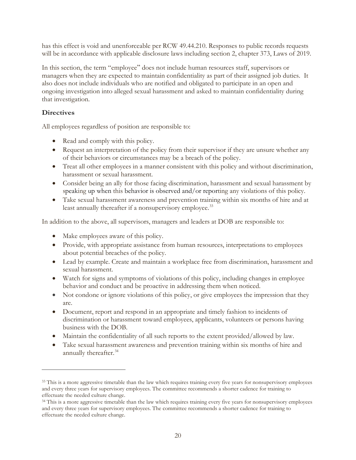has this effect is void and unenforceable per RCW 49.44.210. Responses to public records requests will be in accordance with applicable disclosure laws including section 2, chapter 373, Laws of 2019.

In this section, the term "employee" does not include human resources staff, supervisors or managers when they are expected to maintain confidentiality as part of their assigned job duties. It also does not include individuals who are notified and obligated to participate in an open and ongoing investigation into alleged sexual harassment and asked to maintain confidentiality during that investigation.

### **Directives**

 $\overline{a}$ 

All employees regardless of position are responsible to:

- Read and comply with this policy.
- Request an interpretation of the policy from their supervisor if they are unsure whether any of their behaviors or circumstances may be a breach of the policy.
- Treat all other employees in a manner consistent with this policy and without discrimination, harassment or sexual harassment.
- Consider being an ally for those facing discrimination, harassment and sexual harassment by speaking up when this behavior is observed and/or reporting any violations of this policy.
- Take sexual harassment awareness and prevention training within six months of hire and at least annually thereafter if a nonsupervisory employee.<sup>[33](#page-20-0)</sup>

In addition to the above, all supervisors, managers and leaders at DOB are responsible to:

- Make employees aware of this policy.
- Provide, with appropriate assistance from human resources, interpretations to employees about potential breaches of the policy.
- Lead by example. Create and maintain a workplace free from discrimination, harassment and sexual harassment.
- Watch for signs and symptoms of violations of this policy, including changes in employee behavior and conduct and be proactive in addressing them when noticed.
- Not condone or ignore violations of this policy, or give employees the impression that they are.
- Document, report and respond in an appropriate and timely fashion to incidents of discrimination or harassment toward employees, applicants, volunteers or persons having business with the DOB.
- Maintain the confidentiality of all such reports to the extent provided/allowed by law.
- Take sexual harassment awareness and prevention training within six months of hire and annually thereafter.<sup>34</sup>

<span id="page-20-0"></span><sup>&</sup>lt;sup>33</sup> This is a more aggressive timetable than the law which requires training every five years for nonsupervisory employees and every three years for supervisory employees. The committee recommends a shorter cadence for training to effectuate the needed culture change.

<span id="page-20-1"></span><sup>&</sup>lt;sup>34</sup> This is a more aggressive timetable than the law which requires training every five years for nonsupervisory employees and every three years for supervisory employees. The committee recommends a shorter cadence for training to effectuate the needed culture change.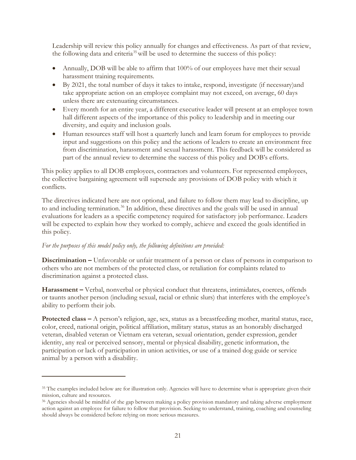Leadership will review this policy annually for changes and effectiveness. As part of that review, the following data and criteria<sup>[35](#page-21-0)</sup> will be used to determine the success of this policy:

- Annually, DOB will be able to affirm that 100% of our employees have met their sexual harassment training requirements.
- By 2021, the total number of days it takes to intake, respond, investigate (if necessary)and take appropriate action on an employee complaint may not exceed, on average, 60 days unless there are extenuating circumstances.
- Every month for an entire year, a different executive leader will present at an employee town hall different aspects of the importance of this policy to leadership and in meeting our diversity, and equity and inclusion goals.
- Human resources staff will host a quarterly lunch and learn forum for employees to provide input and suggestions on this policy and the actions of leaders to create an environment free from discrimination, harassment and sexual harassment. This feedback will be considered as part of the annual review to determine the success of this policy and DOB's efforts.

This policy applies to all DOB employees, contractors and volunteers. For represented employees, the collective bargaining agreement will supersede any provisions of DOB policy with which it conflicts.

The directives indicated here are not optional, and failure to follow them may lead to discipline, up to and including termination.<sup>[36](#page-21-1)</sup> In addition, these directives and the goals will be used in annual evaluations for leaders as a specific competency required for satisfactory job performance. Leaders will be expected to explain how they worked to comply, achieve and exceed the goals identified in this policy.

#### *For the purposes of this model policy only, the following definitions are provided:*

 $\overline{a}$ 

**Discrimination –** Unfavorable or unfair treatment of a person or class of persons in comparison to others who are not members of the protected class, or retaliation for complaints related to discrimination against a protected class.

**Harassment –** Verbal, nonverbal or physical conduct that threatens, intimidates, coerces, offends or taunts another person (including sexual, racial or ethnic slurs) that interferes with the employee's ability to perform their job.

**Protected class –** A person's religion, age, sex, status as a breastfeeding mother, marital status, race, color, creed, national origin, political affiliation, military status, status as an honorably discharged veteran, disabled veteran or Vietnam era veteran, sexual orientation, gender expression, gender identity, any real or perceived sensory, mental or physical disability, genetic information, the participation or lack of participation in union activities, or use of a trained dog guide or service animal by a person with a disability.

<span id="page-21-0"></span><sup>&</sup>lt;sup>35</sup> The examples included below are for illustration only. Agencies will have to determine what is appropriate given their mission, culture and resources.

<span id="page-21-1"></span><sup>36</sup> Agencies should be mindful of the gap between making a policy provision mandatory and taking adverse employment action against an employee for failure to follow that provision. Seeking to understand, training, coaching and counseling should always be considered before relying on more serious measures.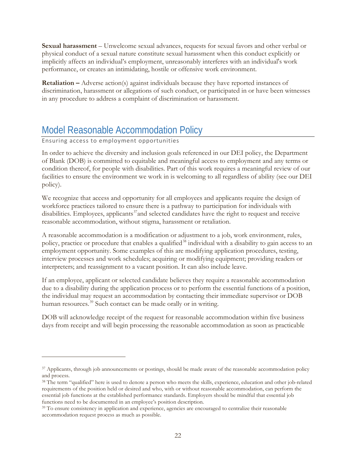**Sexual harassment** – Unwelcome sexual advances, requests for sexual favors and other verbal or physical conduct of a sexual nature constitute sexual harassment when this conduct explicitly or implicitly affects an individual's employment, unreasonably interferes with an individual's work performance, or creates an intimidating, hostile or offensive work environment.

**Retaliation –** Adverse action(s) against individuals because they have reported instances of discrimination, harassment or allegations of such conduct, or participated in or have been witnesses in any procedure to address a complaint of discrimination or harassment.

## <span id="page-22-0"></span>Model Reasonable Accommodation Policy

#### Ensuring access to employment opportunities

 $\overline{a}$ 

In order to achieve the diversity and inclusion goals referenced in our DEI policy, the Department of Blank (DOB) is committed to equitable and meaningful access to employment and any terms or condition thereof, for people with disabilities. Part of this work requires a meaningful review of our facilities to ensure the environment we work in is welcoming to all regardless of ability (see our DEI policy).

We recognize that access and opportunity for all employees and applicants require the design of workforce practices tailored to ensure there is a pathway to participation for individuals with disabilities. Employees, applicants<sup>[37](#page-22-1)</sup> and selected candidates have the right to request and receive reasonable accommodation, without stigma, harassment or retaliation.

A reasonable accommodation is a modification or adjustment to a job, work environment, rules, policy, practice or procedure that enables a qualified<sup>[38](#page-22-2)</sup> individual with a disability to gain access to an employment opportunity. Some examples of this are modifying application procedures, testing, interview processes and work schedules; acquiring or modifying equipment; providing readers or interpreters; and reassignment to a vacant position. It can also include leave.

If an employee, applicant or selected candidate believes they require a reasonable accommodation due to a disability during the application process or to perform the essential functions of a position, the individual may request an accommodation by contacting their immediate supervisor or DOB human resources.<sup>[39](#page-22-3)</sup> Such contact can be made orally or in writing.

DOB will acknowledge receipt of the request for reasonable accommodation within five business days from receipt and will begin processing the reasonable accommodation as soon as practicable

<span id="page-22-1"></span><sup>&</sup>lt;sup>37</sup> Applicants, through job announcements or postings, should be made aware of the reasonable accommodation policy and process.

<span id="page-22-2"></span><sup>&</sup>lt;sup>38</sup> The term "qualified" here is used to denote a person who meets the skills, experience, education and other job-related requirements of the position held or desired and who, with or without reasonable accommodation, can perform the essential job functions at the established performance standards. Employers should be mindful that essential job functions need to be documented in an employee's position description.

<span id="page-22-3"></span><sup>&</sup>lt;sup>39</sup> To ensure consistency in application and experience, agencies are encouraged to centralize their reasonable accommodation request process as much as possible.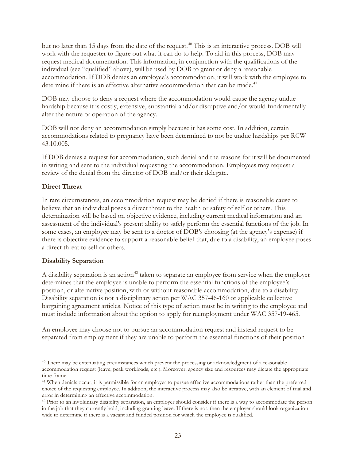but no later than 15 days from the date of the request. [40](#page-23-0) This is an interactive process. DOB will work with the requester to figure out what it can do to help. To aid in this process, DOB may request medical documentation. This information, in conjunction with the qualifications of the individual (see "qualified" above), will be used by DOB to grant or deny a reasonable accommodation. If DOB denies an employee's accommodation, it will work with the employee to determine if there is an effective alternative accommodation that can be made.<sup>[41](#page-23-1)</sup>

DOB may choose to deny a request where the accommodation would cause the agency undue hardship because it is costly, extensive, substantial and/or disruptive and/or would fundamentally alter the nature or operation of the agency.

DOB will not deny an accommodation simply because it has some cost. In addition, certain accommodations related to pregnancy have been determined to not be undue hardships per RCW 43.10.005.

If DOB denies a request for accommodation, such denial and the reasons for it will be documented in writing and sent to the individual requesting the accommodation. Employees may request a review of the denial from the director of DOB and/or their delegate.

#### **Direct Threat**

In rare circumstances, an accommodation request may be denied if there is reasonable cause to believe that an individual poses a direct threat to the health or safety of self or others. This determination will be based on objective evidence, including current medical information and an assessment of the individual's present ability to safely perform the essential functions of the job. In some cases, an employee may be sent to a doctor of DOB's choosing (at the agency's expense) if there is objective evidence to support a reasonable belief that, due to a disability, an employee poses a direct threat to self or others.

#### **Disability Separation**

 $\overline{a}$ 

A disability separation is an action<sup>[42](#page-23-2)</sup> taken to separate an employee from service when the employer determines that the employee is unable to perform the essential functions of the employee's position, or alternative position, with or without reasonable accommodation, due to a disability. Disability separation is not a disciplinary action per WAC 357-46-160 or applicable collective bargaining agreement articles. Notice of this type of action must be in writing to the employee and must include information about the option to apply for reemployment under WAC 357-19-465.

An employee may choose not to pursue an accommodation request and instead request to be separated from employment if they are unable to perform the essential functions of their position

<span id="page-23-0"></span><sup>40</sup> There may be extenuating circumstances which prevent the processing or acknowledgment of a reasonable accommodation request (leave, peak workloads, etc.). Moreover, agency size and resources may dictate the appropriate time frame.

<span id="page-23-1"></span><sup>41</sup> When denials occur, it is permissible for an employer to pursue effective accommodations rather than the preferred choice of the requesting employee. In addition, the interactive process may also be iterative, with an element of trial and error in determining an effective accommodation.

<span id="page-23-2"></span><sup>&</sup>lt;sup>42</sup> Prior to an involuntary disability separation, an employer should consider if there is a way to accommodate the person in the job that they currently hold, including granting leave. If there is not, then the employer should look organizationwide to determine if there is a vacant and funded position for which the employee is qualified.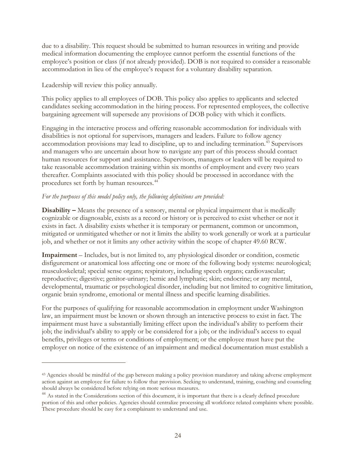due to a disability. This request should be submitted to human resources in writing and provide medical information documenting the employee cannot perform the essential functions of the employee's position or class (if not already provided). DOB is not required to consider a reasonable accommodation in lieu of the employee's request for a voluntary disability separation.

Leadership will review this policy annually.

 $\overline{a}$ 

This policy applies to all employees of DOB. This policy also applies to applicants and selected candidates seeking accommodation in the hiring process. For represented employees, the collective bargaining agreement will supersede any provisions of DOB policy with which it conflicts.

Engaging in the interactive process and offering reasonable accommodation for individuals with disabilities is not optional for supervisors, managers and leaders. Failure to follow agency accommodation provisions may lead to discipline, up to and including termination.<sup>[43](#page-24-0)</sup> Supervisors and managers who are uncertain about how to navigate any part of this process should contact human resources for support and assistance. Supervisors, managers or leaders will be required to take reasonable accommodation training within six months of employment and every two years thereafter. Complaints associated with this policy should be processed in accordance with the procedures set forth by human resources.[44](#page-24-1)

#### *For the purposes of this model policy only, the following definitions are provided:*

**Disability –** Means the presence of a sensory, mental or physical impairment that is medically cognizable or diagnosable, exists as a record or history or is perceived to exist whether or not it exists in fact. A disability exists whether it is temporary or permanent, common or uncommon, mitigated or unmitigated whether or not it limits the ability to work generally or work at a particular job, and whether or not it limits any other activity within the scope of chapter 49.60 RCW.

**Impairment** – Includes, but is not limited to, any physiological disorder or condition, cosmetic disfigurement or anatomical loss affecting one or more of the following body systems: neurological; musculoskeletal; special sense organs; respiratory, including speech organs; cardiovascular; reproductive; digestive; genitor-urinary; hemic and lymphatic; skin; endocrine; or any mental, developmental, traumatic or psychological disorder, including but not limited to cognitive limitation, organic brain syndrome, emotional or mental illness and specific learning disabilities.

For the purposes of qualifying for reasonable accommodation in employment under Washington law, an impairment must be known or shown through an interactive process to exist in fact. The impairment must have a substantially limiting effect upon the individual's ability to perform their job; the individual's ability to apply or be considered for a job; or the individual's access to equal benefits, privileges or terms or conditions of employment; or the employee must have put the employer on notice of the existence of an impairment and medical documentation must establish a

<span id="page-24-0"></span><sup>43</sup> Agencies should be mindful of the gap between making a policy provision mandatory and taking adverse employment action against an employee for failure to follow that provision. Seeking to understand, training, coaching and counseling should always be considered before relying on more serious measures.

<span id="page-24-1"></span><sup>&</sup>lt;sup>44</sup> As stated in the Considerations section of this document, it is important that there is a clearly defined procedure portion of this and other policies. Agencies should centralize processing all workforce related complaints where possible. These procedure should be easy for a complainant to understand and use.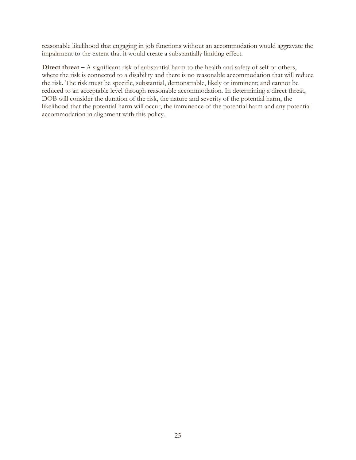reasonable likelihood that engaging in job functions without an accommodation would aggravate the impairment to the extent that it would create a substantially limiting effect.

**Direct threat** – A significant risk of substantial harm to the health and safety of self or others, where the risk is connected to a disability and there is no reasonable accommodation that will reduce the risk. The risk must be specific, substantial, demonstrable, likely or imminent; and cannot be reduced to an acceptable level through reasonable accommodation. In determining a direct threat, DOB will consider the duration of the risk, the nature and severity of the potential harm, the likelihood that the potential harm will occur, the imminence of the potential harm and any potential accommodation in alignment with this policy.